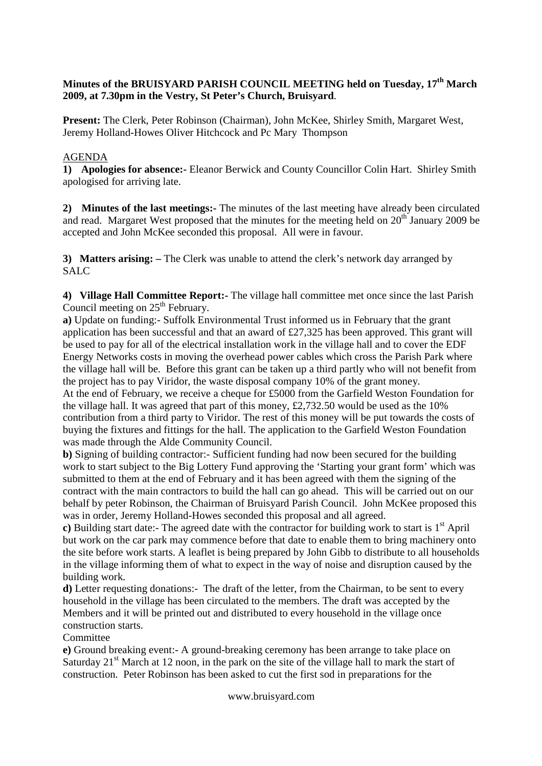# **Minutes of the BRUISYARD PARISH COUNCIL MEETING held on Tuesday, 17th March 2009, at 7.30pm in the Vestry, St Peter's Church, Bruisyard**.

**Present:** The Clerk, Peter Robinson (Chairman), John McKee, Shirley Smith, Margaret West, Jeremy Holland-Howes Oliver Hitchcock and Pc Mary Thompson

# AGENDA

**1) Apologies for absence:-** Eleanor Berwick and County Councillor Colin Hart. Shirley Smith apologised for arriving late.

**2) Minutes of the last meetings:-** The minutes of the last meeting have already been circulated and read. Margaret West proposed that the minutes for the meeting held on  $20^{th}$  January 2009 be accepted and John McKee seconded this proposal. All were in favour.

**3) Matters arising: –** The Clerk was unable to attend the clerk's network day arranged by SALC

**4) Village Hall Committee Report:-** The village hall committee met once since the last Parish Council meeting on  $25<sup>th</sup>$  February.

**a)** Update on funding:- Suffolk Environmental Trust informed us in February that the grant application has been successful and that an award of £27,325 has been approved. This grant will be used to pay for all of the electrical installation work in the village hall and to cover the EDF Energy Networks costs in moving the overhead power cables which cross the Parish Park where the village hall will be. Before this grant can be taken up a third partly who will not benefit from the project has to pay Viridor, the waste disposal company 10% of the grant money. At the end of February, we receive a cheque for £5000 from the Garfield Weston Foundation for

the village hall. It was agreed that part of this money,  $\pounds2.732.50$  would be used as the 10% contribution from a third party to Viridor. The rest of this money will be put towards the costs of buying the fixtures and fittings for the hall. The application to the Garfield Weston Foundation was made through the Alde Community Council.

**b)** Signing of building contractor:- Sufficient funding had now been secured for the building work to start subject to the Big Lottery Fund approving the 'Starting your grant form' which was submitted to them at the end of February and it has been agreed with them the signing of the contract with the main contractors to build the hall can go ahead. This will be carried out on our behalf by peter Robinson, the Chairman of Bruisyard Parish Council. John McKee proposed this was in order, Jeremy Holland-Howes seconded this proposal and all agreed.

**c**) Building start date:- The agreed date with the contractor for building work to start is  $1<sup>st</sup>$  April but work on the car park may commence before that date to enable them to bring machinery onto the site before work starts. A leaflet is being prepared by John Gibb to distribute to all households in the village informing them of what to expect in the way of noise and disruption caused by the building work.

**d)** Letter requesting donations:- The draft of the letter, from the Chairman, to be sent to every household in the village has been circulated to the members. The draft was accepted by the Members and it will be printed out and distributed to every household in the village once construction starts.

Committee

**e)** Ground breaking event:- A ground-breaking ceremony has been arrange to take place on Saturday  $21<sup>st</sup>$  March at 12 noon, in the park on the site of the village hall to mark the start of construction. Peter Robinson has been asked to cut the first sod in preparations for the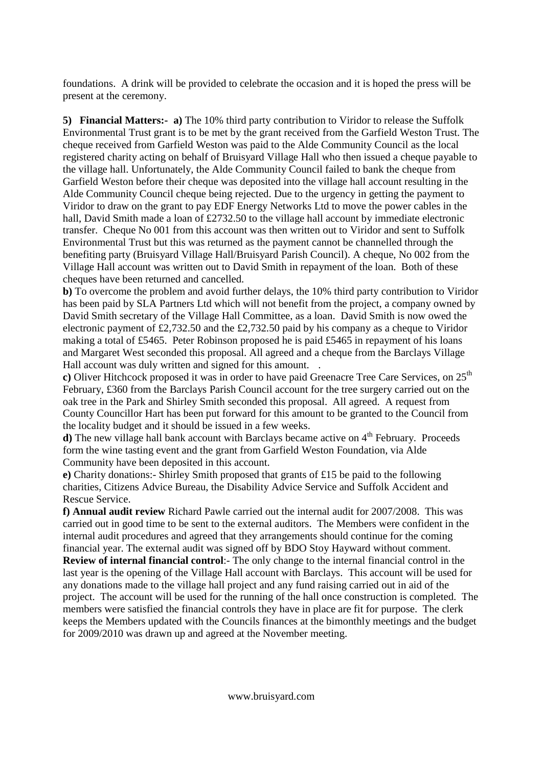foundations. A drink will be provided to celebrate the occasion and it is hoped the press will be present at the ceremony.

**5) Financial Matters:- a)** The 10% third party contribution to Viridor to release the Suffolk Environmental Trust grant is to be met by the grant received from the Garfield Weston Trust. The cheque received from Garfield Weston was paid to the Alde Community Council as the local registered charity acting on behalf of Bruisyard Village Hall who then issued a cheque payable to the village hall. Unfortunately, the Alde Community Council failed to bank the cheque from Garfield Weston before their cheque was deposited into the village hall account resulting in the Alde Community Council cheque being rejected. Due to the urgency in getting the payment to Viridor to draw on the grant to pay EDF Energy Networks Ltd to move the power cables in the hall, David Smith made a loan of £2732.50 to the village hall account by immediate electronic transfer. Cheque No 001 from this account was then written out to Viridor and sent to Suffolk Environmental Trust but this was returned as the payment cannot be channelled through the benefiting party (Bruisyard Village Hall/Bruisyard Parish Council). A cheque, No 002 from the Village Hall account was written out to David Smith in repayment of the loan. Both of these cheques have been returned and cancelled.

**b)** To overcome the problem and avoid further delays, the 10% third party contribution to Viridor has been paid by SLA Partners Ltd which will not benefit from the project, a company owned by David Smith secretary of the Village Hall Committee, as a loan. David Smith is now owed the electronic payment of £2,732.50 and the £2,732.50 paid by his company as a cheque to Viridor making a total of £5465. Peter Robinson proposed he is paid £5465 in repayment of his loans and Margaret West seconded this proposal. All agreed and a cheque from the Barclays Village Hall account was duly written and signed for this amount. .

**c**) Oliver Hitchcock proposed it was in order to have paid Greenacre Tree Care Services, on 25<sup>th</sup> February, £360 from the Barclays Parish Council account for the tree surgery carried out on the oak tree in the Park and Shirley Smith seconded this proposal. All agreed. A request from County Councillor Hart has been put forward for this amount to be granted to the Council from the locality budget and it should be issued in a few weeks.

**d**) The new village hall bank account with Barclays became active on 4<sup>th</sup> February. Proceeds form the wine tasting event and the grant from Garfield Weston Foundation, via Alde Community have been deposited in this account.

**e)** Charity donations:- Shirley Smith proposed that grants of £15 be paid to the following charities, Citizens Advice Bureau, the Disability Advice Service and Suffolk Accident and Rescue Service.

**f) Annual audit review** Richard Pawle carried out the internal audit for 2007/2008. This was carried out in good time to be sent to the external auditors. The Members were confident in the internal audit procedures and agreed that they arrangements should continue for the coming financial year. The external audit was signed off by BDO Stoy Hayward without comment. **Review of internal financial control**:- The only change to the internal financial control in the last year is the opening of the Village Hall account with Barclays. This account will be used for any donations made to the village hall project and any fund raising carried out in aid of the project. The account will be used for the running of the hall once construction is completed. The members were satisfied the financial controls they have in place are fit for purpose. The clerk keeps the Members updated with the Councils finances at the bimonthly meetings and the budget for 2009/2010 was drawn up and agreed at the November meeting.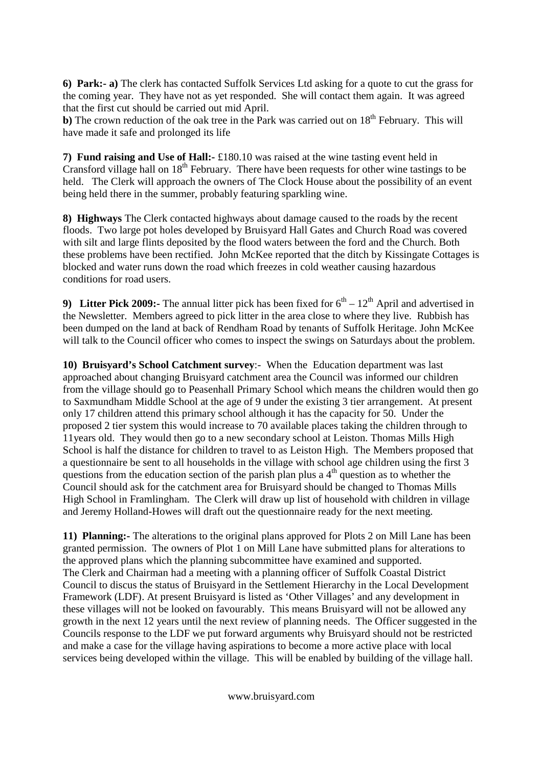**6) Park:- a)** The clerk has contacted Suffolk Services Ltd asking for a quote to cut the grass for the coming year. They have not as yet responded. She will contact them again. It was agreed that the first cut should be carried out mid April.

**b**) The crown reduction of the oak tree in the Park was carried out on 18<sup>th</sup> February. This will have made it safe and prolonged its life

**7) Fund raising and Use of Hall:-** £180.10 was raised at the wine tasting event held in Cransford village hall on  $18<sup>th</sup>$  February. There have been requests for other wine tastings to be held. The Clerk will approach the owners of The Clock House about the possibility of an event being held there in the summer, probably featuring sparkling wine.

**8) Highways** The Clerk contacted highways about damage caused to the roads by the recent floods. Two large pot holes developed by Bruisyard Hall Gates and Church Road was covered with silt and large flints deposited by the flood waters between the ford and the Church. Both these problems have been rectified. John McKee reported that the ditch by Kissingate Cottages is blocked and water runs down the road which freezes in cold weather causing hazardous conditions for road users.

**9) Litter Pick 2009:-** The annual litter pick has been fixed for  $6^{th} - 12^{th}$  April and advertised in the Newsletter. Members agreed to pick litter in the area close to where they live. Rubbish has been dumped on the land at back of Rendham Road by tenants of Suffolk Heritage. John McKee will talk to the Council officer who comes to inspect the swings on Saturdays about the problem.

**10) Bruisyard's School Catchment survey**:- When the Education department was last approached about changing Bruisyard catchment area the Council was informed our children from the village should go to Peasenhall Primary School which means the children would then go to Saxmundham Middle School at the age of 9 under the existing 3 tier arrangement. At present only 17 children attend this primary school although it has the capacity for 50. Under the proposed 2 tier system this would increase to 70 available places taking the children through to 11years old. They would then go to a new secondary school at Leiston. Thomas Mills High School is half the distance for children to travel to as Leiston High. The Members proposed that a questionnaire be sent to all households in the village with school age children using the first 3 questions from the education section of the parish plan plus a  $4<sup>th</sup>$  question as to whether the Council should ask for the catchment area for Bruisyard should be changed to Thomas Mills High School in Framlingham. The Clerk will draw up list of household with children in village and Jeremy Holland-Howes will draft out the questionnaire ready for the next meeting.

**11) Planning:-** The alterations to the original plans approved for Plots 2 on Mill Lane has been granted permission. The owners of Plot 1 on Mill Lane have submitted plans for alterations to the approved plans which the planning subcommittee have examined and supported. The Clerk and Chairman had a meeting with a planning officer of Suffolk Coastal District Council to discus the status of Bruisyard in the Settlement Hierarchy in the Local Development Framework (LDF). At present Bruisyard is listed as 'Other Villages' and any development in these villages will not be looked on favourably. This means Bruisyard will not be allowed any growth in the next 12 years until the next review of planning needs. The Officer suggested in the Councils response to the LDF we put forward arguments why Bruisyard should not be restricted and make a case for the village having aspirations to become a more active place with local services being developed within the village. This will be enabled by building of the village hall.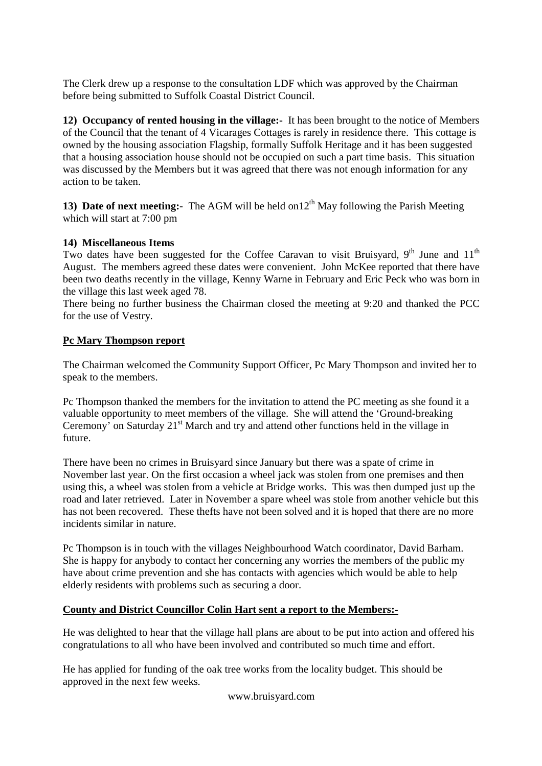The Clerk drew up a response to the consultation LDF which was approved by the Chairman before being submitted to Suffolk Coastal District Council.

**12) Occupancy of rented housing in the village:-** It has been brought to the notice of Members of the Council that the tenant of 4 Vicarages Cottages is rarely in residence there. This cottage is owned by the housing association Flagship, formally Suffolk Heritage and it has been suggested that a housing association house should not be occupied on such a part time basis. This situation was discussed by the Members but it was agreed that there was not enough information for any action to be taken.

**13) Date of next meeting:-** The AGM will be held on 12<sup>th</sup> May following the Parish Meeting which will start at 7:00 pm

# **14) Miscellaneous Items**

Two dates have been suggested for the Coffee Caravan to visit Bruisyard,  $9<sup>th</sup>$  June and  $11<sup>th</sup>$ August. The members agreed these dates were convenient. John McKee reported that there have been two deaths recently in the village, Kenny Warne in February and Eric Peck who was born in the village this last week aged 78.

There being no further business the Chairman closed the meeting at 9:20 and thanked the PCC for the use of Vestry.

# **Pc Mary Thompson report**

The Chairman welcomed the Community Support Officer, Pc Mary Thompson and invited her to speak to the members.

Pc Thompson thanked the members for the invitation to attend the PC meeting as she found it a valuable opportunity to meet members of the village. She will attend the 'Ground-breaking Ceremony' on Saturday  $21<sup>st</sup>$  March and try and attend other functions held in the village in future.

There have been no crimes in Bruisyard since January but there was a spate of crime in November last year. On the first occasion a wheel jack was stolen from one premises and then using this, a wheel was stolen from a vehicle at Bridge works. This was then dumped just up the road and later retrieved. Later in November a spare wheel was stole from another vehicle but this has not been recovered. These thefts have not been solved and it is hoped that there are no more incidents similar in nature.

Pc Thompson is in touch with the villages Neighbourhood Watch coordinator, David Barham. She is happy for anybody to contact her concerning any worries the members of the public my have about crime prevention and she has contacts with agencies which would be able to help elderly residents with problems such as securing a door.

#### **County and District Councillor Colin Hart sent a report to the Members:-**

He was delighted to hear that the village hall plans are about to be put into action and offered his congratulations to all who have been involved and contributed so much time and effort.

He has applied for funding of the oak tree works from the locality budget. This should be approved in the next few weeks.